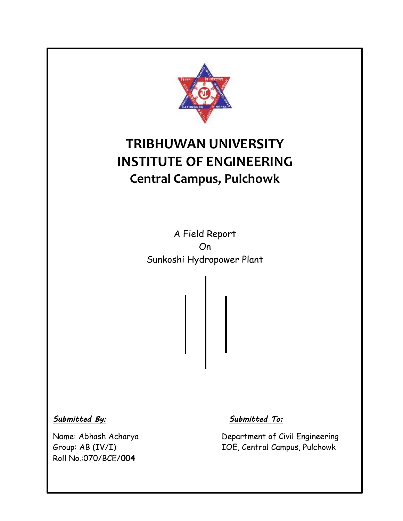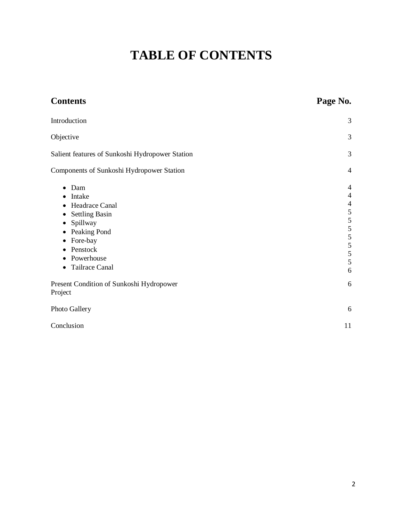# **TABLE OF CONTENTS**

| <b>Contents</b>                                                                                                                                                                               | Page No.                                                                                                 |
|-----------------------------------------------------------------------------------------------------------------------------------------------------------------------------------------------|----------------------------------------------------------------------------------------------------------|
| Introduction                                                                                                                                                                                  | 3                                                                                                        |
| Objective                                                                                                                                                                                     | 3                                                                                                        |
| Salient features of Sunkoshi Hydropower Station                                                                                                                                               | 3                                                                                                        |
| Components of Sunkoshi Hydropower Station                                                                                                                                                     | 4                                                                                                        |
| Dam<br>٠<br>Intake<br>$\bullet$<br>Headrace Canal<br><b>Settling Basin</b><br>Spillway<br>٠<br>Peaking Pond<br>Fore-bay<br>Penstock<br>Powerhouse<br>$\bullet$<br>Tailrace Canal<br>$\bullet$ | $\overline{4}$<br>$\overline{4}$<br>$\overline{4}$<br>$\frac{5}{5}$<br>5<br>$\frac{5}{5}$<br>5<br>5<br>6 |
| Present Condition of Sunkoshi Hydropower<br>Project                                                                                                                                           | 6                                                                                                        |
| Photo Gallery                                                                                                                                                                                 | 6                                                                                                        |
| Conclusion                                                                                                                                                                                    | 11                                                                                                       |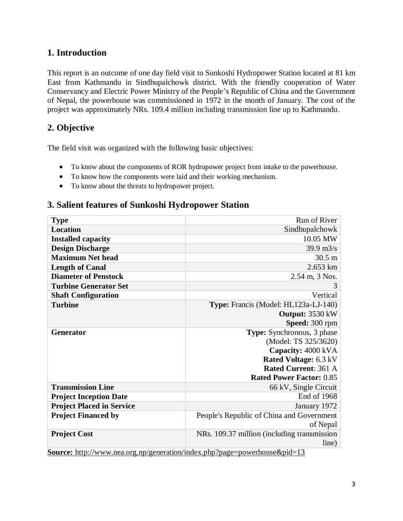## **1. Introduction**

This report is an outcome of one day field visit to Sunkoshi Hydropower Station located at 81 km East from Kathmandu in Sindhupalchowk district. With the friendly cooperation of Water Conservancy and Electric Power Ministry of the People's Republic of China and the Government of Nepal, the powerhouse was commissioned in 1972 in the month of January. The cost of the project was approximately NRs. 109.4 million including transmission line up to Kathmandu.

# **2. Objective**

The field visit was organized with the following basic objectives:

- To know about the components of ROR hydropower project from intake to the powerhouse.
- To know how the components were laid and their working mechanism.
- To know about the threats to hydropower project.

## **3. Salient features of Sunkoshi Hydropower Station**

| <b>Type</b>                      | Run of River                                                                     |
|----------------------------------|----------------------------------------------------------------------------------|
| <b>Location</b>                  | Sindhupalchowk                                                                   |
| <b>Installed capacity</b>        | 10.05 MW                                                                         |
| <b>Design Discharge</b>          | $39.9 \text{ m}^3/\text{s}$                                                      |
| <b>Maximum Net head</b>          | $30.5 \text{ m}$                                                                 |
| <b>Length of Canal</b>           | 2.653 km                                                                         |
| <b>Diameter of Penstock</b>      | 2.54 m, 3 Nos.                                                                   |
| <b>Turbine Generator Set</b>     | 3                                                                                |
| <b>Shaft Configuration</b>       | Vertical                                                                         |
| <b>Turbine</b>                   | Type: Francis (Model: HL123a-LJ-140)                                             |
|                                  | Output: 3530 kW                                                                  |
|                                  | Speed: 300 rpm                                                                   |
| <b>Generator</b>                 | Type: Synchronous, 3 phase                                                       |
|                                  | (Model: TS 325/3620)                                                             |
|                                  | Capacity: 4000 kVA                                                               |
|                                  | Rated Voltage: 6.3 kV                                                            |
|                                  | <b>Rated Current: 361 A</b>                                                      |
|                                  | <b>Rated Power Factor: 0.85</b>                                                  |
| <b>Transmission Line</b>         | 66 kV, Single Circuit                                                            |
| <b>Project Inception Date</b>    | End of 1968                                                                      |
| <b>Project Placed in Service</b> | January 1972                                                                     |
| <b>Project Financed by</b>       | People's Republic of China and Government                                        |
|                                  | of Nepal                                                                         |
| <b>Project Cost</b>              | NRs. 109.37 million (including transmission                                      |
|                                  | line)                                                                            |
|                                  | <b>Source:</b> http://www.nea.org.pp/generation/index.php?page=powerbouse&pid=13 |

**Source:** http://www.nea.org.np/generation/index.php?page=powerhouse&pid=13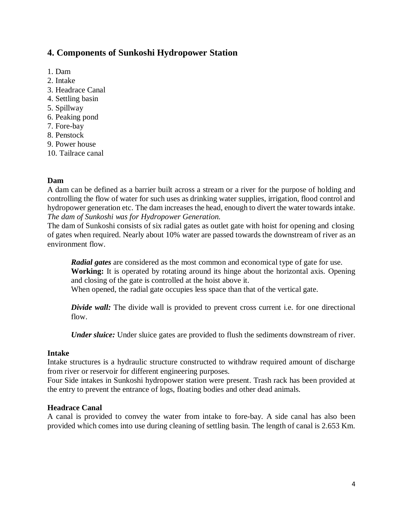## **4. Components of Sunkoshi Hydropower Station**

- 1. Dam
- 2. Intake
- 3. Headrace Canal
- 4. Settling basin
- 5. Spillway
- 6. Peaking pond
- 7. Fore-bay
- 8. Penstock
- 9. Power house
- 10. Tailrace canal

#### **Dam**

A dam can be defined as a barrier built across a stream or a river for the purpose of holding and controlling the flow of water for such uses as drinking water supplies, irrigation, flood control and hydropower generation etc. The dam increases the head, enough to divert the water towards intake. *The dam of Sunkoshi was for Hydropower Generation.*

The dam of Sunkoshi consists of six radial gates as outlet gate with hoist for opening and closing of gates when required. Nearly about 10% water are passed towards the downstream of river as an environment flow.

*Radial gates* are considered as the most common and economical type of gate for use. **Working:** It is operated by rotating around its hinge about the horizontal axis. Opening and closing of the gate is controlled at the hoist above it.

When opened, the radial gate occupies less space than that of the vertical gate.

*Divide wall:* The divide wall is provided to prevent cross current i.e. for one directional flow.

*Under sluice:* Under sluice gates are provided to flush the sediments downstream of river.

#### **Intake**

Intake structures is a hydraulic structure constructed to withdraw required amount of discharge from river or reservoir for different engineering purposes.

Four Side intakes in Sunkoshi hydropower station were present. Trash rack has been provided at the entry to prevent the entrance of logs, floating bodies and other dead animals.

#### **Headrace Canal**

A canal is provided to convey the water from intake to fore-bay. A side canal has also been provided which comes into use during cleaning of settling basin. The length of canal is 2.653 Km.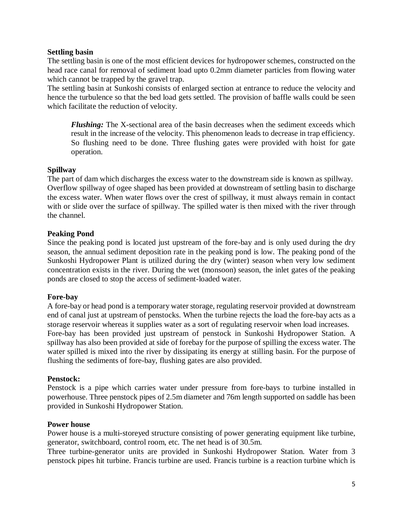#### **Settling basin**

The settling basin is one of the most efficient devices for hydropower schemes, constructed on the head race canal for removal of sediment load upto 0.2mm diameter particles from flowing water which cannot be trapped by the gravel trap.

The settling basin at Sunkoshi consists of enlarged section at entrance to reduce the velocity and hence the turbulence so that the bed load gets settled. The provision of baffle walls could be seen which facilitate the reduction of velocity.

*Flushing*: The X-sectional area of the basin decreases when the sediment exceeds which result in the increase of the velocity. This phenomenon leads to decrease in trap efficiency. So flushing need to be done. Three flushing gates were provided with hoist for gate operation.

#### **Spillway**

The part of dam which discharges the excess water to the downstream side is known as spillway. Overflow spillway of ogee shaped has been provided at downstream of settling basin to discharge the excess water. When water flows over the crest of spillway, it must always remain in contact with or slide over the surface of spillway. The spilled water is then mixed with the river through the channel.

#### **Peaking Pond**

Since the peaking pond is located just upstream of the fore-bay and is only used during the dry season, the annual sediment deposition rate in the peaking pond is low. The peaking pond of the Sunkoshi Hydropower Plant is utilized during the dry (winter) season when very low sediment concentration exists in the river. During the wet (monsoon) season, the inlet gates of the peaking ponds are closed to stop the access of sediment-loaded water.

#### **Fore-bay**

A fore-bay or head pond is a temporary water storage, regulating reservoir provided at downstream end of canal just at upstream of penstocks. When the turbine rejects the load the fore-bay acts as a storage reservoir whereas it supplies water as a sort of regulating reservoir when load increases. Fore-bay has been provided just upstream of penstock in Sunkoshi Hydropower Station. A spillway has also been provided at side of forebay for the purpose of spilling the excess water. The water spilled is mixed into the river by dissipating its energy at stilling basin. For the purpose of flushing the sediments of fore-bay, flushing gates are also provided.

#### **Penstock:**

Penstock is a pipe which carries water under pressure from fore-bays to turbine installed in powerhouse. Three penstock pipes of 2.5m diameter and 76m length supported on saddle has been provided in Sunkoshi Hydropower Station.

#### **Power house**

Power house is a multi-storeyed structure consisting of power generating equipment like turbine, generator, switchboard, control room, etc. The net head is of 30.5m.

Three turbine-generator units are provided in Sunkoshi Hydropower Station. Water from 3 penstock pipes hit turbine. Francis turbine are used. Francis turbine is a reaction turbine which is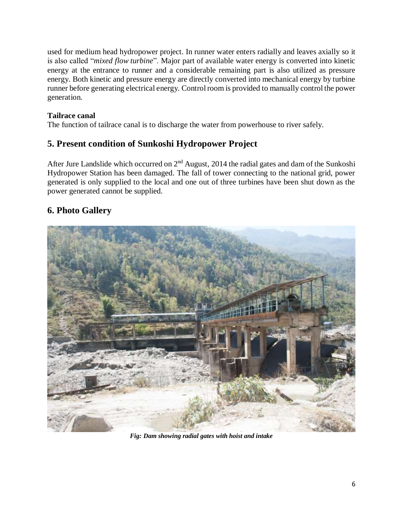used for medium head hydropower project. In runner water enters radially and leaves axially so it is also called "*mixed flow turbine*". Major part of available water energy is converted into kinetic energy at the entrance to runner and a considerable remaining part is also utilized as pressure energy. Both kinetic and pressure energy are directly converted into mechanical energy by turbine runner before generating electrical energy. Control room is provided to manually control the power generation.

### **Tailrace canal**

The function of tailrace canal is to discharge the water from powerhouse to river safely.

# **5. Present condition of Sunkoshi Hydropower Project**

After Jure Landslide which occurred on 2<sup>nd</sup> August, 2014 the radial gates and dam of the Sunkoshi Hydropower Station has been damaged. The fall of tower connecting to the national grid, power generated is only supplied to the local and one out of three turbines have been shut down as the power generated cannot be supplied.

# **6. Photo Gallery**



*Fig: Dam showing radial gates with hoist and intake*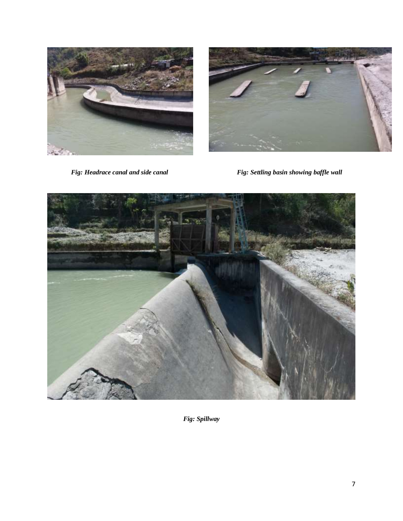



*Fig: Headrace canal and side canal Fig: Settling basin showing baffle wall*



*Fig: Spillway*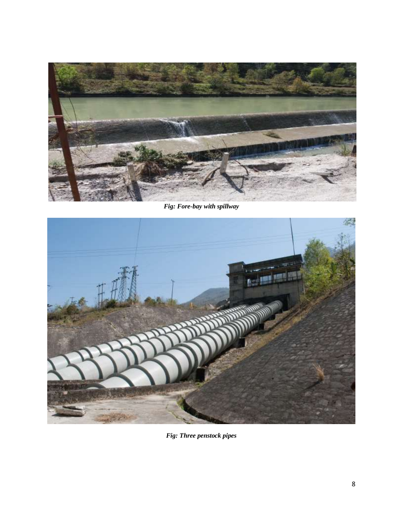

*Fig: Fore-bay with spillway*



*Fig: Three penstock pipes*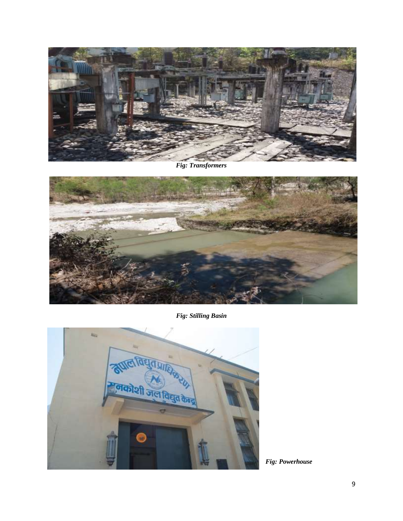

*Fig: Transformers*



*Fig: Stilling Basin*



*Fig: Powerhouse*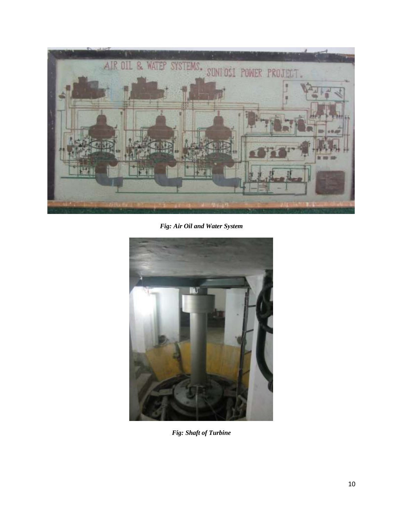

*Fig: Air Oil and Water System*



*Fig: Shaft of Turbine*